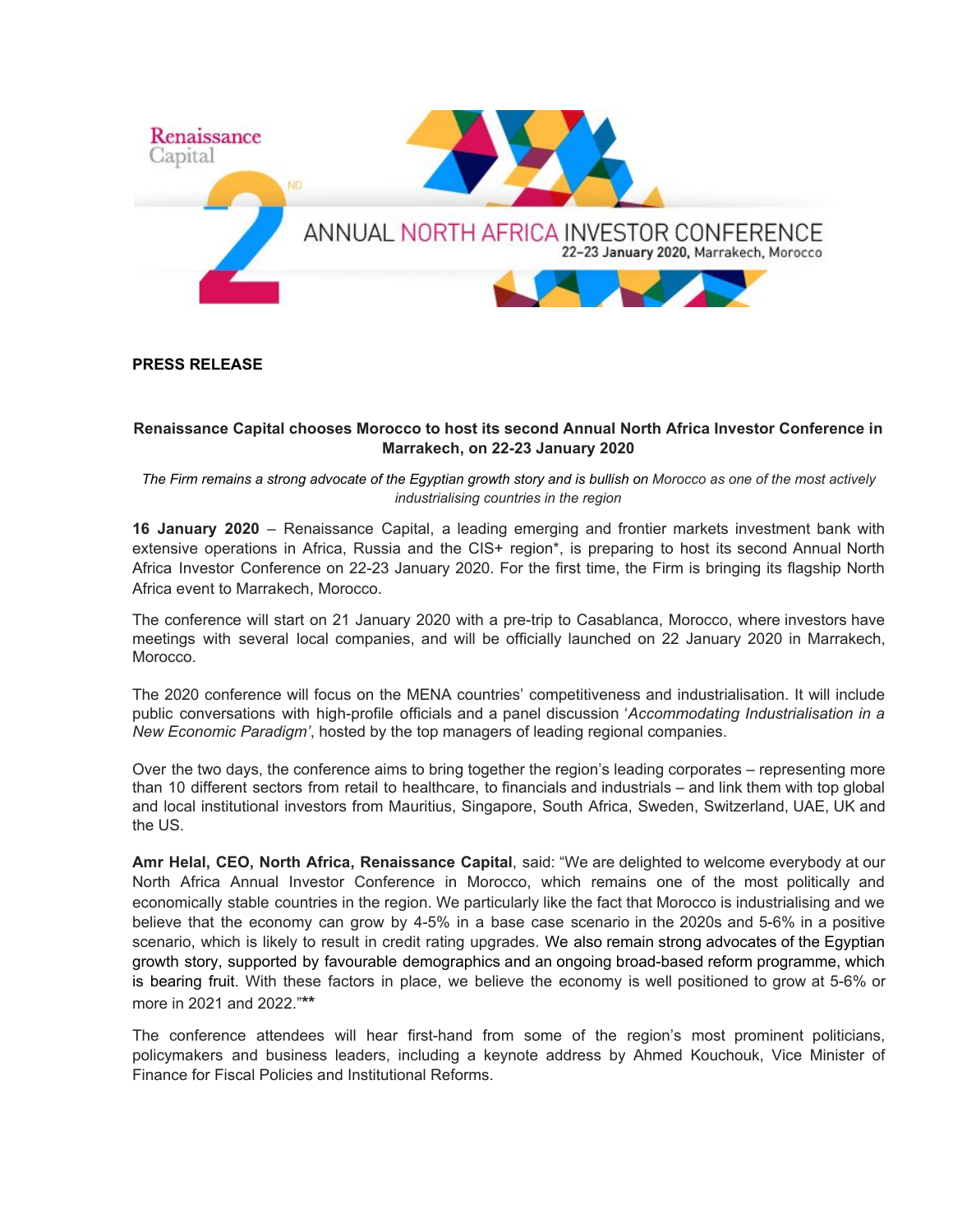

## **PRESS RELEASE**

## **Renaissance Capital chooses Morocco to host its second Annual North Africa Investor Conference in Marrakech, on 22-23 January 2020**

*The Firm remains a strong advocate of the Egyptian growth story and is bullish on Morocco as one of the most actively industrialising countries in the region*

**16 January 2020** – Renaissance Capital, a leading emerging and frontier markets investment bank with extensive operations in Africa, Russia and the CIS+ region\*, is preparing to host its second Annual North Africa Investor Conference on 22-23 January 2020. For the first time, the Firm is bringing its flagship North Africa event to Marrakech, Morocco.

The conference will start on 21 January 2020 with a pre-trip to Casablanca, Morocco, where investors have meetings with several local companies, and will be officially launched on 22 January 2020 in Marrakech, Morocco.

The 2020 conference will focus on the MENA countries' competitiveness and industrialisation. It will include public conversations with high-profile officials and a panel discussion '*Accommodating Industrialisation in a New Economic Paradigm'*, hosted by the top managers of leading regional companies.

Over the two days, the conference aims to bring together the region's leading corporates – representing more than 10 different sectors from retail to healthcare, to financials and industrials – and link them with top global and local institutional investors from Mauritius, Singapore, South Africa, Sweden, Switzerland, UAE, UK and the US.

**Amr Helal, CEO, North Africa, Renaissance Capital**, said: "We are delighted to welcome everybody at our North Africa Annual Investor Conference in Morocco, which remains one of the most politically and economically stable countries in the region. We particularly like the fact that Morocco is industrialising and we believe that the economy can grow by 4-5% in a base case scenario in the 2020s and 5-6% in a positive scenario, which is likely to result in credit rating upgrades. We also remain strong advocates of the Egyptian growth story, supported by favourable demographics and an ongoing broad-based reform programme, which is bearing fruit. With these factors in place, we believe the economy is well positioned to grow at 5-6% or more in 2021 and 2022."**\*\***

The conference attendees will hear first-hand from some of the region's most prominent politicians, policymakers and business leaders, including a keynote address by Ahmed Kouchouk, Vice Minister of Finance for Fiscal Policies and Institutional Reforms.